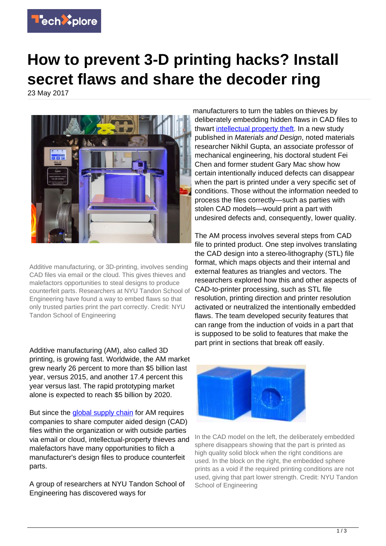

## **How to prevent 3-D printing hacks? Install secret flaws and share the decoder ring**

23 May 2017



Additive manufacturing, or 3D-printing, involves sending CAD files via email or the cloud. This gives thieves and malefactors opportunities to steal designs to produce counterfeit parts. Researchers at NYU Tandon School of Engineering have found a way to embed flaws so that only trusted parties print the part correctly. Credit: NYU Tandon School of Engineering

Additive manufacturing (AM), also called 3D printing, is growing fast. Worldwide, the AM market grew nearly 26 percent to more than \$5 billion last year, versus 2015, and another 17.4 percent this year versus last. The rapid prototyping market alone is expected to reach \$5 billion by 2020.

But since the [global supply chain](https://techxplore.com/tags/global+supply+chain/) for AM requires companies to share computer aided design (CAD) files within the organization or with outside parties via email or cloud, intellectual-property thieves and malefactors have many opportunities to filch a manufacturer's design files to produce counterfeit parts.

A group of researchers at NYU Tandon School of Engineering has discovered ways for

manufacturers to turn the tables on thieves by deliberately embedding hidden flaws in CAD files to thwart [intellectual property theft](https://techxplore.com/tags/intellectual+property+theft/). In a new study published in Materials and Design, noted materials researcher Nikhil Gupta, an associate professor of mechanical engineering, his doctoral student Fei Chen and former student Gary Mac show how certain intentionally induced defects can disappear when the part is printed under a very specific set of conditions. Those without the information needed to process the files correctly—such as parties with stolen CAD models—would print a part with undesired defects and, consequently, lower quality.

The AM process involves several steps from CAD file to printed product. One step involves translating the CAD design into a stereo-lithography (STL) file format, which maps objects and their internal and external features as triangles and vectors. The researchers explored how this and other aspects of CAD-to-printer processing, such as STL file resolution, printing direction and printer resolution activated or neutralized the intentionally embedded flaws. The team developed security features that can range from the induction of voids in a part that is supposed to be solid to features that make the part print in sections that break off easily.



In the CAD model on the left, the deliberately embedded sphere disappears showing that the part is printed as high quality solid block when the right conditions are used. In the block on the right, the embedded sphere prints as a void if the required printing conditions are not used, giving that part lower strength. Credit: NYU Tandon School of Engineering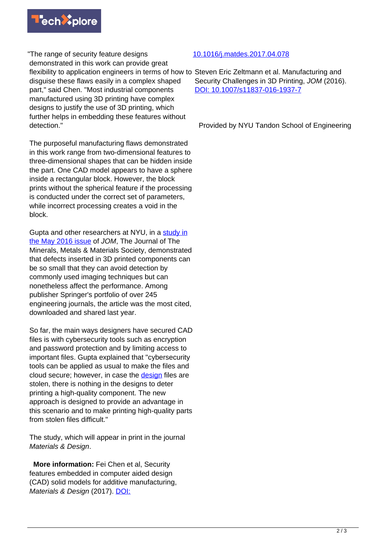

"The range of security feature designs demonstrated in this work can provide great flexibility to application engineers in terms of how to Steven Eric Zeltmann et al. Manufacturing and disguise these flaws easily in a complex shaped part," said Chen. "Most industrial components manufactured using 3D printing have complex designs to justify the use of 3D printing, which further helps in embedding these features without detection."

The purposeful manufacturing flaws demonstrated in this work range from two-dimensional features to three-dimensional shapes that can be hidden inside the part. One CAD model appears to have a sphere inside a rectangular block. However, the block prints without the spherical feature if the processing is conducted under the correct set of parameters, while incorrect processing creates a void in the block.

Gupta and other researchers at NYU, in a [study in](https://phys.org/news/2016-07-cybersecurity-3d.html) [the May 2016 issue](https://phys.org/news/2016-07-cybersecurity-3d.html) of JOM, The Journal of The Minerals, Metals & Materials Society, demonstrated that defects inserted in 3D printed components can be so small that they can avoid detection by commonly used imaging techniques but can nonetheless affect the performance. Among publisher Springer's portfolio of over 245 engineering journals, the article was the most cited, downloaded and shared last year.

So far, the main ways designers have secured CAD files is with cybersecurity tools such as encryption and password protection and by limiting access to important files. Gupta explained that "cybersecurity tools can be applied as usual to make the files and cloud secure; however, in case the [design](https://techxplore.com/tags/design/) files are stolen, there is nothing in the designs to deter printing a high-quality component. The new approach is designed to provide an advantage in this scenario and to make printing high-quality parts from stolen files difficult."

The study, which will appear in print in the journal Materials & Design.

 **More information:** Fei Chen et al, Security features embedded in computer aided design (CAD) solid models for additive manufacturing, Materials & Design (2017). [DOI:](http://dx.doi.org/10.1016/j.matdes.2017.04.078)

## [10.1016/j.matdes.2017.04.078](http://dx.doi.org/10.1016/j.matdes.2017.04.078)

Security Challenges in 3D Printing, JOM (2016). [DOI: 10.1007/s11837-016-1937-7](http://dx.doi.org/10.1007/s11837-016-1937-7)

Provided by NYU Tandon School of Engineering